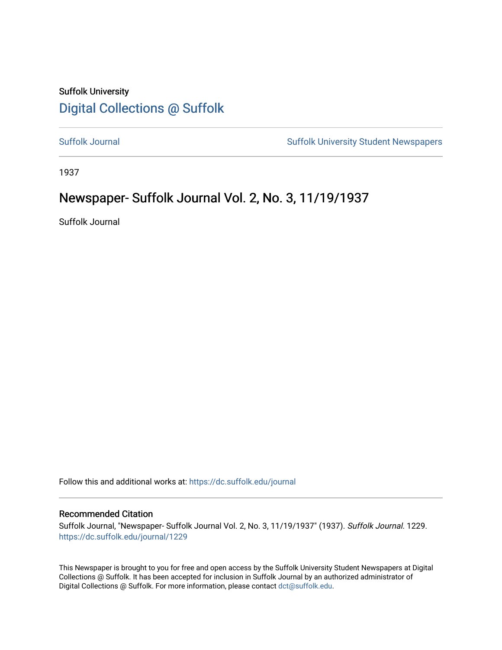## Suffolk University [Digital Collections @ Suffolk](https://dc.suffolk.edu/)

[Suffolk Journal](https://dc.suffolk.edu/journal) [Suffolk University Student Newspapers](https://dc.suffolk.edu/newspapers) 

1937

## Newspaper- Suffolk Journal Vol. 2, No. 3, 11/19/1937

Suffolk Journal

Follow this and additional works at: [https://dc.suffolk.edu/journal](https://dc.suffolk.edu/journal?utm_source=dc.suffolk.edu%2Fjournal%2F1229&utm_medium=PDF&utm_campaign=PDFCoverPages)

### Recommended Citation

Suffolk Journal, "Newspaper- Suffolk Journal Vol. 2, No. 3, 11/19/1937" (1937). Suffolk Journal. 1229. [https://dc.suffolk.edu/journal/1229](https://dc.suffolk.edu/journal/1229?utm_source=dc.suffolk.edu%2Fjournal%2F1229&utm_medium=PDF&utm_campaign=PDFCoverPages) 

This Newspaper is brought to you for free and open access by the Suffolk University Student Newspapers at Digital Collections @ Suffolk. It has been accepted for inclusion in Suffolk Journal by an authorized administrator of Digital Collections @ Suffolk. For more information, please contact [dct@suffolk.edu](mailto:dct@suffolk.edu).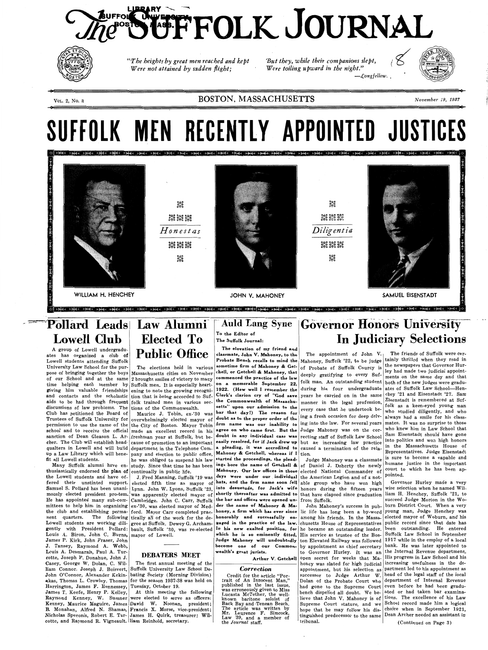# **LA ACCEPTE COLK JOURNAL**



*rrThe heights by great men reached and kept Were not attained by sudden flight;* 

*~ut they, while their companions slept, Were toiling upward in the night." -J:,ongfellow.* 



VoL. 2, No. 3

 $-$ dii

# **Pollard Leads Law Alumni Lowell Club**

## BOSTON, MASSACHUSETTS *November 19, 1937*

# **SUFFOLK MEN RECENTLY APPOINTED JUSTICES**



**4**

thusiastically endorsed the plan of continually in public life. the Lowell students and have of-

fered their unstinted support. elected fifth time as mayor of hats, and the firm name soon fell able group who have won high Samuel S. Pollard has been unani- Lynn. John W. Lyons, Suffolk '23, <sup>| into</sup> desuetude, for Jack's wife honors during the fifteen years mously elected president pro-tem. was apparently elected mayor of **shortly thereafter was admitted to** that have elapsed since graduation liam H. Henchey, Suffolk '21, to **He** has appointed many sub-com-Cambridge. John C. Carr, Suffolk **the bar and offices were opened un-**from Suffolk. mittees to help him in organizing ex-'30, was elected mayor of Med- der the name of Mahoney & Ma- John Mahoney's success in pubthe club and establishing perma- ford. Mayor Carr completed prac- honey, a firm which has ever since lic life has long been a by-word young man, Judge Henchey was nent quarters. The following tically all of the work for the de- **honorably and successfully en-** among his friends. In the Massa- elected mayor of Woburn, and his Lowell students are working dili- gree at Suffolk. Dewey G. Archam- **gaged in the practice of the law.** chusetts House of Representatives public record since that date has gently with President Pollard: bault, Suffolk '30, was re-elected In his new exalted position, for he became an outstanding leader. been outstanding. He entered Louis A. Biron, John C. Burns, mayor of Lowell. James P. Kirk, John Fraser, John

A group of Lowell undergraduates has organized a club of Lowell students attending Suffolk University Law School for the purpose of bringing together the boys of our School and at the same 2 brought smiles of victory to many time helping each member by aids to be had through frequent discussions of law problems. The **Club** has petitioned the Board of Trustees of Suffolk University for cher. The Club will establish headfit all Lowell students.

# Auld Lang Syne Governor Honors University In Judiciary Selections

The elevation of my friend and **Probate Bench recalls to mind the chell, or Getchell** & **Mahoney, that** . . commenced the practice of the law Mahoney & Getchell, whereas if  $I|$  tion.

giving him valuable friendships ening to note the growing recogni- 1922. (How well I remember the during his four undergraduate and contacts and the scholastic tion that is being accorded to Suf- Clerk's clarion cry of "God save years he carried on in the same **classmate, John V. Mahoney, to the** The appointment of John V. <sub>|</sub> sometime firm of Mahoney & Get- of Probate of Suffolk County is deeply gratifying to every Suffolk trained men in various sec- the **Commonwealth of Massachu-** manner in the legal profession, tions of the Commonwealth. **setts" upon our admission to the** every case that he undertook be-<br>Maurice J. Tobin, ex-'30 was bar that day!) The reason for  $\left| \begin{array}{c} \text{every} \text{case that he undertook be-} \\ \text{if } \text{neg a fresh occasion for } \text{def.} \end{array} \right|$ ing a fresh occasion for deep delveasily resolved, for if Jack drew up but an increasing law practice a pleading, it was accredited to caused a termination of the rela-

J. Tansey, Raymond A. Webb, Louis A. Desmarais, Paul A. Turcotte, Joseph F. Donahue, John J.

## **Elected To Public Office**  --

## **To the Editor of**

**The Suffolk Journal:** 

mayor of Lowell. **which he is so eminently fitted,**  His service as trustee of the Bos-Suffolk Law School in September **Judge Mahoney will undoubtedly**  ton Elevated Railway was followed 1917 while in the employ of a local become one of our Common- by appointment as chief secretary bank. He was later appointed to **wealth's great jurists.**  Arthur V. Getchell open secret for weeks that Ma-<sup>[His</sup> progress in Law School and his

 $\bullet$ 

The elections held in various Massachusetts cities on November Suffolk men. It is especially heart-

permission to use the name of the the City of Boston. Mayor Tobin firm name was our inability to school and to receive the official made an excellent record in his **agree on who came first. But the**  sanction of Dean Gleason L. Ar-freshman year at Suffolk, but be- **doubt in any individual case was**  qualters in Lowell and will build department in the Telephone Com- **a pleading, it was accredited to**  up a Law Library which will bene-pany and election to public office, **Mahoney** & **Getchell, whereas** if I overwhelmingly elected mayor of **doubt as to the proper order of the**  cause of promotion to an important he was obliged to suspend his law started the proceedings, the plead-

Many Suffolk alumni have en- study. Since that time he has been ings bore the name of Getchell & of Daniel J. Doherty the newly continually in public life. **Mahoney. Our law offices in those**  elected National Commander of J. Fred Manning, Suffolk '19 was **days were under our, individual**  the American Legion and of a not-

Casey, George W. Dolan, C. William Connor, Joseph J. Boisvert, Suffolk University Law School De-John O'Connor, Alexander Kekin-bating Society (Morning Division) akas, Thomas L. Crowley, Thomas for the season 1937-38 was held on Harrington, James F. Hennessey, Tuesday, October 19. James T. Keefe, Henry P. Kelley, At this meeting the following Raymond Kenney, W. Sumner were elected to serve as officers: Kenney, Maurice Maguire, James **David W.** Noonan, president; B. Monahan, Alfred N. Shamas, Francis X. Morse, vice-president; The first annual meeting of the

to Governor Hurley. It was an the Internal Revenue department. honey was slated for high judicial increasing usefulness in the deappointment, but his selection as partment led to his appointment as successor to Judge Arthur W. head of the legal staff of the local Dolan of the Probate Court who department of Internal Revenue had gone to the Supreme Court even before he had been gradubench dispelled all doubt. We be- ated or had taken bar examinalieve that John V. Mahoney is of tions. The excellence of his Law Supreme Court stature, and we School record made him a logical hope that he may follow his dis- choice when in September 1921, tinguished predecessor to the same tribunal.

Nicholas Speronis, Robert E. Tur-James H. Quirk, treasurer; Wilcotte, and Raymond R. Vigneault. liam Reinhold, secretary.

**on a memorable September 22,** folk man. An outstanding student both of the new judges were gradu-The friends of Suffolk were cer-Mahoney, Suffolk '22, to be judge  $\vert$  tainly thrilled when they read in the newspapers that Governor Hurley had made two judicial appointments on the same day and that during his four undergraduate ates of Suffolk Law School-Henyears he carried on in the same  $\left| \text{chey } '21 \text{ and Eisenstadt } '27. \text{ Sam} \right|$ Eisenstadt is remembered at Suffolk as a keen-eyed young man who studied diligently, and who always had a smile for his classing into the law. For several years mates. It was no surprise to those agree on who came first. But the Judge Mahoney was on the cor- who knew him in Law School that doubt in any individual case was recting staff of Suffolk Law School  $\begin{bmatrix} \text{Sam} \\ \text{into} \end{bmatrix}$  should have gone easily resolved, for if Jack drew up but an increasing law prectice into politics and won high honors in the Massachusetts House of Representatives. Judge Eisenstadt is sure to become a capable and humane justice in the important court to which he has been appointed.

## **DEBATERS MEET**

#### *Correction*

Credit for the article "Portrait of An Innocent Man," published in the last issue, was erroneously given to Miss Lucasta McTether, the wellknown baritone soloist of Back Bay and -Tenean Beach. The article was written by<br>Mr. Laurence F. Simcock, Law '39, and a member of the *Journal* staff. Judge Mahoney was a classmate

Governor Hurley made a very wise selection when he named Wilsucceed Judge Morton in the Woburn District Court. When a very Dean Archer needed an assistant in

( Continued on Page 3)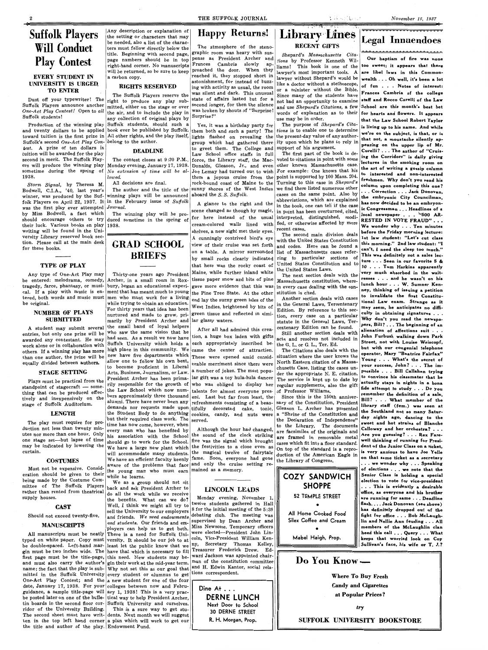# **Suffolk Players Will** Conduct **Play Contest**

### **EVERY STUDENT IN UNIVERSITY IS URGED. TO ENTER**

Dust off your typewriter! The Suffolk Players announce another *One-Act Play Contest!* Open to *all*  Suffolk students!

Suffolk's second *One-Act Play Con-* belong to the author. test. A prize of ten dollars in tuition will be awarded for the play second in merit. The Suffolk Players will produce the winning play sometime during the spring of 1938.

*Storm Signal,* by Theresa M. Bodwell, C.I.A., '40, last year's winner, was produced by the Suffolk Players on April 22, 1937. It in the February issue of  $\mathit{Sufjolk}$ was the first play ever attempted *Journal.*  by Miss Bodwell, a fact which should encourage others to try their luck. Various books on play writing will be found in the University Library reserved book section. Please call at the main desk for these books.

#### **TYPE OF PLAY**

Any type of One-Act Play may be entered: melodrama, comedy, tragedy, farce, phantasy, or musical. If a play with music is enbe original.

#### **NUMBER OF PLAYS SUBMITTED**

A student may submit several entries, but only one prize will be awarded any contestant. He may work alone or in collaboration with equally divided between **authors.** 

#### **STAGE SETTING**

Plays must be practical from the standpoint of stagecraft  $-$  something that can be produced effectively and inexpensively on the stage of Suffolk Auditorium.

Production of the winning play Suffolk students, should such a and twenty dollars to be applied book ever be published by Suffolk. toward tuition is the first prize in All other rights, and the play itself, The Suffolk Players reserve the right to produce any play submitted, either on the stage or over the air, and to include the play in any collection of original plays by

#### **LENGTH**

Monday evening, January 17, 1938. Donalds, Gleason, Jr., and even *No extension of time will be allowed.* 

The play must require for production not less than twenty minutes nor more than one hour. Only one stage set-but lapse of time may be indicated by lowering the curtain.

The author and the title of the winning plays will be announced

#### **COSTUMES**

The atmosphere of the stenographic room was heavy with sus-Surprise!"

The contest closes at 9:30 P.M., force, the Library staff, the Macto greet them. The College and support of his argument.

Must not be expensive. Consideration should be given to their being made by the Costume Committee of The Suffolk Players rather than rented from theatrical supply houses.

## **Library Lines RECENT GIFTS**

# Shepard's *Massachusetts Cita*was silent and dark. This unusual Since many of the students have state of affairs lasted but for a student of compinent words of explanation as to their

Yes, it was a birthday party for The purpose of *Shepard's Cita*-<br>em both and such a party! The *tions* is to enable one to determine group which had gathered there ity upon which he plans to rely in

For example: One knows that his A glance to the right and the in the book, one can tell if the case

> with the United States Constitution and codes. Here can be found a list of Massachusetts cases referring to particular sections of United States Constitution and to the United States Laws.<br>The next section deals with the

**CAST** 

Any description or explanation of the setting or characters that may be needed, also a list of the characters must follow directly below the title. Beginning with second page, page numbers should be in top pense as President Archer and right-hand corner. No manuscripts  $r_{\text{r}}$  riances Cambria slowly ap-<br>will be returned so be sure to keep proached the door. When they will be returned, so be sure to keep a carbon copy.

#### **RIGHTS RESERVED**

#### **DEADLINE**

All decisions are final.

The winning play will be produced sometime in the spring of 1938.

## **GRAD SCHOOL BRIEFS**

#### THE SUFFOLK JOURNAL

## **Happy Returns!**

# Legal Innuendoes

tered, both words and music must | men who must work for a living than one author, the prize will be now have five departments which These were opened amid considwho saw the same vision that he had seen. As a result we now have allow one to follow his own bent, to become proficient in Liberal Arts, Business, Journalism, or Law. rily responsible for the growth of the Law School which now numbers approximately three thousand alumni. There have never been any demands nor requests made upon but their required class work. The time has now come, however, when every man who has benefited by his association with the School should go to work for the School. We have a large new plant which will accommodate many students. We have an efficient faculty keenly

aware of the problems that face and only the cruise setting re-Although the hour had changed, the sound of the clock striking five was the signal which brought the festivities to a close even as the magical twelve of fairytale fame. Soon, everyone had gone mained as a memory.

situation where the user knows the North Eastern citation of a Massa-The service is kept up to date by

Gleason L. Archer has presented duction of the American Eagle in

for here instead of the usual cream-colored walls lined with on a table. A mirror surrounded by small rocks clearly indicated that here was the rocky coast of

work alone of in conaboration with **the place in this community.** We came the center of attraction. The Citations also deals with the **but with our congenial telephone** others. If a winning play has more in the high place **Our baptism of fire was** none *tions* by Professor Kenneth Wil-Frances Cambria slowly ap- items by Hotesson Kelliech while too sweet; it appears that there proached the door. When they lawyer's most important tools. A are libel laws in this Common-<br>reached it, they stopped short in lawyer without Shapard's would be a 14 and 21 and 11 ii 1 reached it, they stopped short in<br>astonishment, for instead of buzz-<br>ing with activity as usual, the room<br>or a minister without the Bible.<br>was silent and dark. This unusual  $\begin{bmatrix} 1 \\ 2 \\ 3 \\ 2 \\ 3 \\ 4 \end{bmatrix}$  or a minister wi state of affairs lasted but for a **fixed included** an opportunity to examine staff and Rocco Curelli of the Law<br>second longer, for then the silence and use Shanggal's Citations a few School are this month's best bet second longer, for then the silence and use *Shepard's Citations*, a few **School are this month's best bet**<br>was broken by shouts of "Surprise! words of explanation as to their for hearts and flowers. It appears use may be in order.<br>The purpose of *Shepard's Cita*- $\begin{vmatrix} \n\text{that the Law School Robert Taylor} \\
\text{the purpose of *Shepard's Cita* - \n\end{vmatrix}$ Yes, it was a birthday party for<br>the purpose of *Shepura's* City<br>them both and such a party! The *tions* is to enable one to determine<br>lights flashed on revealing the present-day value of any author. hich he plans to rely in that not, a moustane silently ap-<br>his argument.  $\begin{bmatrix} \text{max} \\ \text{mean} \end{bmatrix}$  on the upper lip of Mr. to greet them. The College and support of the book is de- **Curelli?** ... The author of "Cruis-<br>Law School office staffs in full The first part of the book is de- ing the Corridors" is daily giving voted to citations in point with some **ing the Corridors**" is daily giving<br>the lineur Maccochusetts some **lectures** in the smoking room on other known Massachusetts case. **lectures in the smoking room on**  $\Gamma$ them a joyous cruise from the point is supported by 100 Mass. 204.  $\begin{bmatrix} \text{to} & \text{interested} & \text{and} & \text{non-interested} \\ \text{free} & \text{from} & \text{to} & \text{to} \end{bmatrix}$ **ed and non-interested**  rock-bound coast of Maine to the Turning to this case in *Shepard's* **function** *following* this one?  $\begin{bmatrix} \text{sumny} & \text{short} \\ \text{sum}\end{bmatrix}$  shores of the West Indies we find there listed numerous other  $\begin{bmatrix} \text{column upon competing this one} \\ \text{...} \end{bmatrix}$ . **Correction** . . . Jack Donovan, aboard the *S. S. Suffolk.*  $\begin{matrix} \text{cases} & \text{otherwise} \\ \text{cases} & \text{otherwise} \end{matrix}$  and  $\begin{matrix} \text{matrix} & \text{matrix} \\ \text{matrix} & \text{matrix} \end{matrix}$  and  $\begin{matrix} \text{matrix} \\ \text{matrix} \end{matrix}$  and  $\begin{matrix} \text{matrix} \\ \text{matrix} \end{matrix}$  and  $\begin{matrix} \text{matrix} \\ \text{matrix} \end{matrix}$ abbreviations, which are explained  $\begin{bmatrix} \text{the } \text{entropy} \\ \text{has } \text{now } \text{decided to be an embryon-} \end{bmatrix}$ scene changed as though by magic, in point has been overturned, cited, **ic Congressman** ... **Headlines of a**  In point has been overturned, cited, **local newspaper** . . . <sup>1</sup><sup>5</sup>00 AR-<br>interpreted, distinguished, modi-**contract in the set of the set of the set of the set of the set of the set of the set of the set of the set of the** fied, or otherwise affected by more **RESTED IN VOTE FRAUD"** ... **Tends We wonder why** ... **Ten minutes We wonder why** ... **Tends We wonder why** ... **Tends** shelves, a new sight met their eyes. Tecent cases.<br>A cunningly contrived bird's eye The second main division deals **before the Friday morning lecture:** view of their cruise was set forth and codes. Here can be found a this morning." 2nd law student: "I **can't,** I **need the sleep too much." This was definitely not a sales lecture** ... **Seen in our favorite 5** & **<sup>10</sup>**... **Tom Harkins apparently**  Thirty-one years ago President Maine, while further inland white the very lead of the section deals with the very much absorbed in the wait-<br>Archer, in a small room in Rox-tissue paper snow and bits of pine Massachusetts c Massachusetts constitution, where- **resses** . . . and he wasn't on his in a result of pine Massachusetts constitution, where- **respectively respectively respectively respectively respectively respectively respe** bury, began an educational experi- gave more evidence that this was in every case dealing with the con- **lunch hour** • • • **W. Sumner Ken-**<br>ment that has meant much to young **ut and the first of the state of the state of t** ment that has meant much to young the Pine Tree State. At the other stitution is cited.  $\frac{1}{\sqrt{1-\frac{1}{n}}}\int_{0}^{\frac{1}{n}}\frac{1}{\sqrt{1-\frac{1}{n}}}\frac{1}{\sqrt{1-\frac{1}{n}}}\frac{1}{\sqrt{1-\frac{1}{n}}}\frac{1}{\sqrt{1-\frac{1}{n}}}\frac{1}{\sqrt{1-\frac{1}{n}}}\frac{1}{\sqrt{1-\frac{1}{n}}}\frac{1}{\sqrt$ men who must work for a living end lay the sunny green isles of the Another section deals with cases with the set in the set of the while trying to obtain an education.<br>Furthing to obtain an education. West Indies, bright For thirty years that idea has been West Indies, brightened by bits of model waves, accompany seem, he anticipates no diffi-<br>nurtured and made to grow, pri-green tissue and reflected in simi-<br>tion every case on a narticula nurtured and made to grow, pri-green ussue and renected in simi-<br>marily by President Archer and ar glassy waters. the small band of loyal helpers after all had admined this area centenary Edition can be found. Suffolk University which holds a each appropriately inscribed be- the G. L. or G. L. Ter. Ed. **Street, not with Louise Weiscopf,** alienation of affections suit . . . tion, a huge box laden with gifts and resolution and resolution and **John Furbush walking down Park**<br>each annropriately inscribed best and resolves not in Street, not with Louise Weiscopf, **operator, Mary "Beatrice Fairfax" Young** ... **What's the secret of**  chusetts Case, listing the cases un-<br> **possible ... Bill Callahan trying** der the appropriate N. E. citation. **possible**  $\cdot \cdot \cdot$  **Bill Callahan trying** regular supplements, also the gift **actually stays in nights in a bona**  of Professor Williams. **fide attempt to study** • • • **Do you**  Since this is the 150th anniver-<br>**Right Run of the Constitution** Described **Bill?** . . . What member of the sary of the Constitution, President **Bill? iibrary** staff (fem.) was seen at a "Shrine of the Constitution and the Southland not so many Satur-<br>a "Shrine of the Constitution and day nights ago, dancing to the the Declaration of Independence" and **hot strains of Blanche** to the Library. The documents **calloway** and her orchestra?... are facsimiles of the originals and **Are you guessing?** . . . Rex Fareare framed in removable metal **Are you guessing?** · · · **Rex Fare**cases which fit into a floor standard. **well unify the Junior Class on a ticket**. On top of the standard is a repro- **dent of the Junior Class on a ticket,**  duction of the American Eagle in on that same ticket as a secretary the Library of Congress. . . **we wonder why** . . . **Speaking of elections** . . . **we note that the Senior Class is holding a special election to vote for vice-president**  . . **This is evidently a desirable office, as everyone and hia brother** 

> **are running for same** .. , **Deadline**  flash....Jack Donovan (see above)

Should not exceed twenty-five. **MANUSCRIPTS**  All manuscripts must be neatly There is a need for Suffolk Uni- were elected—President John Lintyped on white paper. Copy must versity. It should be our job to at  $|{\rm coh}$ , Vice-President William Kenbe double-spaced. Left-hand mar- least let the public know that we  $\begin{bmatrix} ny, \end{bmatrix}$  Secretary Thomas Kelley, gin must be two inches wide. The have that which is necessary to fill Treasurer Frederick Drew. Edfirst page must be the title-page, this need. New students may beand must also carry the author's gin their work at the mid-year term. name; the fact that the play is sub-Why not set this as our goal that mitted in the Suffolk University every student or alumnus to get One-Act Play Contest; and the a new student for one of the four date, January 17, 1938. For your colleges between now and Februguidance, a sample title-page will ary 1, 1938! This is a very pracbe posted later on one of the bulle- tical way to help President Archer, tin boards in the second floor cor-Suffolk University and ourselves. ridor of the University Building. This is a sure way to get stu-The second sheet must have writ-dents. Next month we will suggest ten in the top left hand corner a plan which will work to get our the title and author of the play. Endowment Fund. sell the University to our employers  $\frac{8 \text{ for the initial meeting of the } 5:30}$ and friends. *We need endowments*  debating club. The meeting was and students. Our friends and em-<br>
supervised by Dean Archer and ployers can help us to get both. Miss Newsome. Temporary officers ward Jackson was appointed chairman of the constitution committee and H. Edwin Kantor, social relations correspondent. Dine At . . . **.DERNE** LUNCH **Next Door to School 30 DERNE STREET R. H. Morgan, Prop.**  All Home Cooked Food Silex Coffee and Cream • Mabel Haigh, Prop. **has definitely dropped out of the fight for office** ... **Bob McLaughlin and Nellie Ann feuding** ... **All members of the McLaughlin clan heed this call** ... **Query .** .. **What keeps that worried look on Cop Sullivan's face, his wife or T. J.?**  Do You Know Where To Buy Fresh Candy and Cigarettes at Popular Prices? *try*  SUFFOLK UNIVERSITY BOOKSTORE

the young man who must earn

while he learns. We as a group should not sit back and ask President Archer to do all the work while we receive the benefits. What can we do? Well, I think we might all try to

President Archer has been prima-lar gift was a toy hula-hula dancer the Student Body to do anything cookies, candy, and nuts **were**  After all had admired this crea- centenary Equiton can be round.<br>Still another section deals with erable merriment since there **were**  a number of jokes. The most popuwho was obliged to display her talents for almost everyone present. Last but far from least, the refreshments consisting of a beautifully decorated cake, tonic, served.

## **LINCOLN LEADS**

Monday evening, November 1, twelve students gathered in Hall

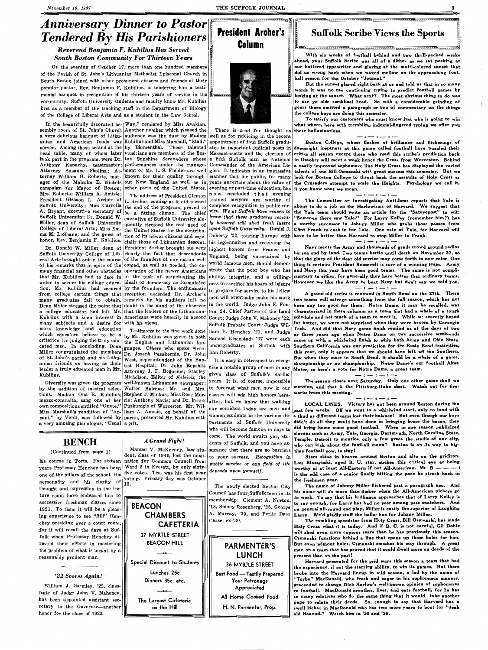## *Reverend Benjamin F. Kubilius Has Served South Boston Community For Thirteen Years*

On the evening of October 17, more than one hundred members of the Parish of St. John's Lithuanian Methodist Episcopal Church in South Boston joined with other prominent citizens and friends of their popular pastor, Rev. Benjamin F. Kubilius, in tendering him a testimonial banquet in recognition of his thirteen years of service in the community. Suffolk University students and faculty know Mr. Kubilius best as a member of the teaching staff in the Department of Biology of the College of Liberal Arts and as a student in the Law School.

In the beautifully decorated as- $|Way''$  rendered by Miss Avakian. sembly room of St. John's Church Another number which pleased the a very delicious banquet of Lithu- audience was the duet by Madam anian and American foods was Kubilius and Miss Marshall, "Stali," served. Among those seated at the by Blumenthal. These talented head table, many of whom later musicians are members of the Bos- Massachusetts and the election of took part in the program, were Dr. ton Sunshine Serenaders whose Anthony Kapachy, toastmaster; performances under the manage-Attorney Susanne Shallna; At- ment of Mr. L. S. Fielder are well torney William G. Roberts, man-|known for their quality through-| ager of the Malcolm E. Nichols out New England as well as in campaign for Mayor of Boston; other parts of the United States. Mrs. Roberts; William A. Amisie; The address of President Gleason **President Gleason L. Archer of L. Archer, coming as it did toward** Suffolk University; Miss Carrolla the end of the program, proved to A. Bryant, executive secretary of be a fitting climax. The chief Suffolk University; Dr. Donald W. executive of Suffolk University elo-<br>Miller, dean of Suffolk University quently stressed the real need of

Miller, dean of Suffolk University quently stressed the real need of College of Liberal Arts; Miss Em-<br>the United States on the control of the College of the contribu ma M. Le Shane; and the guest of tion of its newer citizens and espe-<br>honor, Rev. Benjamin F. Kubilius. cially those of Lithuanian descent honor, Rev. Benjamin F. Kubilius. cially those of Lithuanian descent. his legionnaires and receiving the

## *Anniversary Dinner to Pastor Tendered By His Parishioners*  **1r.------------------------------------~**

## . ' . ' ' ' **Suffolk Scribe Views the Sports**

#### $\mathbf{P}$ ' . ' •:=============================-====================-·



#### $-$ The Committee on Investigating Anti-Isms reports that Yale is about to do a job on the Harlowisms of Harvard. We suggest that the Yale team should write an article for the "Satevepost" to wit: "Someone there saw Yale." For Larry Kelley (remember him?) has a worthy successor in Johnny Miller who grabs those **passes** from Clint Frank to cash in for Yale. One vote of Yale, for Harvard will have to be better than Harvard to stop Miller to Frank.

Suffolk University College of Lib- clearly the fact that descendants eral Arts brought out in the course of the founders of our nation welof his remarks that in spite of the comed, as well as needed, the comany financial and other obstacles operation of the newer Americans that Mr. Kubilius had to face in in the task of perpetuating the order to secure his college educa- ideals of democracy as formulated tion, Mr. Kubilius had secured by the founders. The enthusiastic from college certain things that reception accorded Dr. Archer's many graduates fail to obtain. remarks by his auditors left no Dean Miller stressed the point that doubt in the mind of the observer a college education had left Mr. that the leaders of the Lithuanian-Kubilius with a keen interest in Americans were heartily in accord Court; Judge John V. Mahoney '22, many subjects and a desire for with his views.  $\vert$  Suffolk Probate Court; Judge Wilmore knowledge and education which educators believe to be a criterion for judging the truly educated man. In concluding, Dean Miller congratulated the members Dr. Joseph Pasakernis; Dr. John of St. John's parish and his Lithuanian friends on having as their leader a truly educated man in Mr. Kubilius.

by the addition of musical selec-Walter Balchas; Mr. and Mrs. tions. Madam Ona R. Kubilius, Stephen J. Minkus; Miss Rose Mormezzo-contralto, sang one of her ris; Anthony Navis; and Dr. Frank own compositions entitled "Onute." Puskunigis of Worcester. **Mr. Wil-**Miss Marshall's rendition of "Ar-liam A. Amisie, on behalf of the nani," by Verdi, was followed by parish, presented Mr. Kubilius with a very amusing pianologue, "Usual a gift.



the United States for the contribu-

Dr. Donald W. Miller, dean of President Archer brought out very

**r.---------------------------------------------------------------------------~** 

~---------------------------------------------------------------------------~] **With six weeks of football behind and two thrill-packed weeks ahead, your Suffolk Scribe was all of a dither as we sat pecking at**  our battered typewriter and glaring at the multi-colored sunset that did us wrong back when we waxed mellow on the approaching foot**ball season for the October "Journal."** 

Diversity was given the program well-known Lithuanian newspaper; Testimony to the fine work done by Mr. Kubilius was given in both the English and Lithuanian languages. Others who spoke were: West, superintendent of the Baptist Hospital; Dr. John Repshis; Attorney J. F. Bogocius; Stanley Micholson, Editor of *Keleivis,* the

**But the sunset glared right back at us and told us that in so many words it was no use continuing trying to predict football games by**  looking at the sunset. What next? The most obvious thing to do was to use ye olde scriblical head. So with a considerable grinding of gears there emitted a paragraph or two of commentary on the things the college boys are doing this semester.

To satisfy our customers who must know just who is going to win what where, here with trembling indexial-fingered typing we offer you these hallucinations.

 $-$  :  $-$  :  $-$ 

Boston College, whose flashes of brilliance and flickering• of downright ineptness at this game called football have puzzled their critics all season except those who read this scribe's prediction back in October will meet a week hence the Cross from Worcester. Behind a vastly improved sophomore line Holy Cross has displayed the varied talenta of one Bill Osmanski with great success this semester. But we look for Boston College to thrust back the assaults of Holy Cross as the Crusaders attempt to scale the Heights. Psychology we call it,

#### - $-$  :  $-$  :  $-$  :  $\cdot$

-

#### -- - -

Navy meets the Army and thousands of grads crowd around radios by sea and by land. Two teams battle until death on November 27, so that the glory of the dear old service may come forth in new color. One thing is certain: President Roosevelt is sure of a winning team. Army and Navy this year have been good teams. The same is not complimentary to either, for generally they have better than ordinary teams. However we like the Army to beat Navy but don't say we told you.  $-$ 

There is food for thought as well as for rejoicing in the recent appointment of four Suffolk graduates to important judicial posts in a fifth Suffolk man as National Commander of the American Legion. It indicates in an impressive manner that the public, for many years uncertain about the value of evening or part-time education, has if you know what we mean. n o w concluded t h a t evening trained lawyers are worthy of complete recognition in public service. *We at Suffolk have reason to know that these graduates recently honored will shed fresh lustre upon Suffolk University.* **Daniel J.**  Doherty '22, touring Europe with highest honors from France and England, being entertained by world famous men, should demonstrate that the poor boy who has ability, integrity, and a **willing**ness to sacrifice his hours of leisure to prepare for service to his fellow men will eventually make his mark in the world. Judge John E. Fenton '24, Chief Justice of the Land liam H. Henchey '21, and Judge Samuel Eisenstadt '27 were each Dan Doherty.

'18, Sidney Rosenberg, '25, George on general all-round end play, Miller is easily the superior of Laughing A. Murray, '30, and Perlie Dyar Larry. We'd gladly stuff the ballot box for Johnny Miller. The name of Johnny Miller flickered past a paragraph ago. And his name will do more than flicker when the All-American pickers go to work. To say that his brilliance approaches that of Larry Kelley is to say enough, for Larry has had no peer among pass snatchers. And The rambling speedster from Holy Cross, Bill Osmanski, has made Holy Cross what it is today. And if B. C. is not careful, Gil Dobie will shed even more copious tears than he has previously this season. Osmanski functions behind a line that opens up those holes for him. But even without holes, Osmanski smashes his way through. A great man on a team that has proved that it could dwell more on deeds of the present than on the past! Harvard presented for the grid wars this season a team that had the experience, if not the starring ability, to win its games. But there broke into the Harvard lineup in mid season, a lad by the name of "Torby" MacDonald, who fresh and eager in his sophomoric manner, proceeded to change Dick Harlow's well-known opinion of sophomores re football. MacDonald breathes, lives, and eats football, for he has so many relatives who do the same thing that it would take another page to relate their deeds. So, enough to say that Harvard has a swell kicker in MacDonald who has two more years to boot for "deah old Haavud." Watch him in '38 and '39.

A grand old series is renewed in South Bend on the 27th. There two teams will salvage something from the fall season, which has not been any too good for them. Notre Dame, it may be recalled, was characterized in these columns as a team that had a whale of a tough schedule and not much of a team to meet it. While we secretly hoped for better, we were not surprised when they were beaten by Carnegie Tech. And did that Navy game finish remind us of the days of two or three years ago when Notre Dame on two successive week-ends came up with a whirlwind finish to whip both Army and Ohio State. undergraduates at Suffolk with Southern California was our prediction for the Rosie Bowl festivities, **this year, only it appears that we should have left off the Southern. But when they meet in South Bend, it should be a whale of a game, championship or no championship. Notre Dame's our football Alma Mater, so here's a vote for Notre Dame, a great team.** 

#### $-$  :  $-$  :  $-$  :  $\cdot$

years. It is, of course, impossible **I The season closes next Saturday. Only one other game shall we** to forecast what men now in our **mention**, and that is the Pittsburg-Duke clash. Watch out for fire-

## **BENCH**

#### ( Continued from **page 1)**

#### *'22 Scores Again!\_·*

William J. Gormley, '22, classmate of Judge John V. Mahoney, has been appointed assistant secretary to the Governor-another honor for the class of 1922.

his course in Torts. For sixteen years Professor Henchey has been one of the pillars of the school. His personality and his clarity of thought and expression in the lecture room have endeared him to successive freshman classes since 1921. To them it will be a pleas ing experience to see "Bill" Henchey presiding over a court room, for it will recall the days at Suffolk when Professor Henchey directed their efforts in mastering the problem of what is meant by a reasonably prudent man. 13.

## *A Grand Fight!*

Manuel V. McKenney, law student, class of 1940, lost the nomination for Common Council from Ward 2 in Everett, by only sixtyfive votes. This was his first year voting. Primary day was October



## **CHAMBERS CAFETERIA**  27 MYRTLE STREET

BEACON HILL -++-- **Special Discount to Students** 

> **Lunches 25c Dinners 35c, etc.**

> > -++--

**The Largest Cafeteria on the Hill** 

It is easy in retrospect to recognize a notable group of men in any given class of Suffolk's earlier classes will win high honors here- **works from this meeting.**  after, but we know that walking our corridors today are men and women students in the various departments of Suffolk University who will become famous in days to come. The world awaits you, students of Suffolk, and you have assurance that there are no barriers to your success. *Recognition in public service or any field of life depends upon yourself.* 

The newly elected Boston City Council has four.Suffolk men in its membership: Clement **A. Norton,**  Chase, ex-'30.

> **PARMENTER'S**  LUNCH

36 MYRTLE STREET Best Food - Tastily Prepared Your Patronage Appreciated

All Home Cooked Food

H. N. Parmenter, Prop.

**LOCAL LINES. Victory has not been around Boston during the past few weeks. Off we went to a whirlwind start, only to land with a thud as different teams lost their balance! But even though our boys didn't do all they could have done in bringing home the bacon, they did bring home some good football. When in one season publicized elevens such as Army, Yale, Georgia, Dartmouth, North Carolina State, Temple, Detroit to mention only a few grace the stadia of our city,**  who can kick about the football menu? Boston is on its way to bigtime football now, to stay 1

Stars shine in heaven around Boston and also on the gridiron. Lou Blaszynski, aged B. U. star, strikes this critical eye as being worthy of at least All-Eastern if not All-American. Mr. B —  $$ is the odd case of a senior finally hitting the pace he struck back in the freshman year.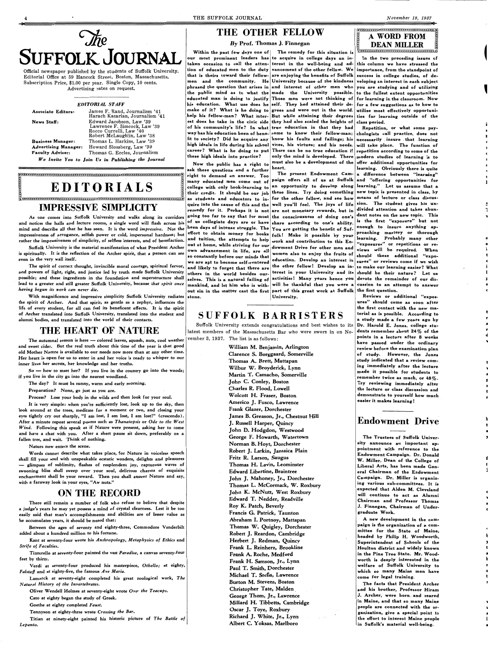

Official newspaper published by the students of Suffolk University. Editorial Office at 59 Hancock Street, Boston, Massachusetts. Subscription Price, \$1.00 per year. Single Copy, 10 cents. Advertising rates on request.

#### *EDITORIAL STAFF*

Associate Editors: James F. Rand, Journalism '41 Hara ch Kazarian, Journalism '41 News Staff: Edward Jacobson, Law '39 Lawrence F. Simcock, Law '39 Rocco Currelli, Law '40 Robert McLaughlin, Law '38 Business Manager: Thomas L. Harkins, Law '39 Advertising Manager: Howard Slossberg, Law '39 Faculty Adviser: Thomas G. Eccles, Journalism *We Invite You to Join Us in Publishing the Journal* 

EDITORIALS

The spirit of correct thought, invincible moral courage, spiritual fervor, and powers of light, right, and justice led by truth made Suffolk University possible; and these ingredients in the foundation and superstructure shall lead to a greater and still greater Suffolk University, because *that spirit once having begun its work can never die.* 

~----------------------------------------------------------------------------~,

## IMPRESSIVE SIMPLICITY

As one comes into Suffolk University and walks along its corridors and notices the halls and lecture rooms, a single word will flash across his mind and describe all that he has seen. It is the word *impressive.* Not the impressiveness of arrogance, selfish power or cold, impersonal hardness; but rather the impressiveness of simplicity, of selfless interests, and of benefaction.

Suffolk University is the material manifestation of what President Archer is spiritually. It is the reflection of the Archer spirit, that a person can see even in the very wall itself.

Within the past few days one of | The remedy for this situation is our most prominent leaders has to acquire in college days an intaken occasion to call the atten-terest in the well-being and adtion of educated men to the duty $\vert$ vancement of the other fellow. We that is theirs toward their fellow- are enjoying the benefits of Suffolk success in college studies, of demen and the community. He University because of the kindness phrased the question that arises in and interest of other men who you are studying and of utilizing the public mind as to what the  $|$ made the University possible. to the fullest extent opportunities educated man is doing to justify Those men were not thinking of for learning in the classroom. Now his education. What use does he self. They had attained their de- for a few suggestions as to how to make of it? What is he doing to grees and were out in the world. utilize most effectively opportunihelp his fellow-man? What inter- But while attaining their degrees est does he take in the civic side they had also scaled the heights of class period. of his community's life? In what true education in that they had Repetition, or what some psyway has his education been of bene- come to know their fellow-man; chologists call practice, does not fit to society? Did he acquire any know his faults and failings; his high ideals in life during his school vices, his virtues; and his needs. will take place. The function of career? What is he doing to put There can be no true education if repetition according to some of the these high ideals into practice?

In the two preceding issues of this column we have stressed the importance, from the standpoint of veloping an interest in each subject ties for learning outside of the

With magnificence and impressive simplicity Suffolk University radiates the spirit of Archer. And that spirit, as gentle as a zephyr, influences the life of every student, for all can feel its beneficent effects. It is the spirit of Archer translated into Suffolk University, translated into the student and alumni bodies, and translated into the world of their contacts.

## THE HEART OF NATURE

Now the public has a right to ask these questions and a further right to demand an answer. Too many educated men come out of college with only book-learning to their credit. It should be our job as students and educators to inquire into the cause of this and the remedy for it. Perhaps it is not of us collegiate days are or have been days of intense struggle. The and tuition; the attempts to help out at home, while striving for our own advancement in life, are all so constantly before our minds that we constantly before our minus that education. Develop an interest in and likely to forget that there are the other fellow! Develop an inselves. This is a natural failing of activities! Many years hence you devote the remainder of our dismankind, and let him who is with- will be thankful that you were a cussion to an attempt to answer out sin in the matter cast the first part of this great work at Suffolk the first question.

for the other fellow, and see how dowment Drive for other men and<br>women also to enjoy the fruits of University.



necessarily . insure . that . learning only the mind is developed. There modern studies of learning is to must also be a development of the offer additional opportunities for heart.<br>The present Endowment Cam- a difference between "learning" a difference between "learming" paign offers all of us at Suffolk and "offering opportunities for an opportunity to develop along learning." Let us assume that a these lines. Try doing something new topic is presented in class, by for the other fellow, and see how means of lecture or class discuswell you'll feel. The joys of life sion. The student gives his un-<br>are not monetary rewards but in divided attention and takes abunare not monetary rewards, but in divided attention and takes abun-<br>the consciences of deing and dant notes on the new topic. This going too far to say that for most the consciousness of doing one's  $\frac{d}{dx}$  dant notes on the new topic. This share according to one's ability. is the first "exposure" but not<br>be according to one's ability.  $\begin{bmatrix} \n\mathbf{r} & \mathbf{r} & \mathbf{r} \\
\mathbf{r} & \mathbf{r} & \mathbf{r} \\
\mathbf{r} & \mathbf{r} & \mathbf{r}\n\end{bmatrix}$  and  $\begin{bmatrix} \n\mathbf{r} & \mathbf{r} & \mathbf{r} \\
\mathbf{r} & \mathbf$ You are getting the benefit of Suf-<br>call Make it would be soon proaching mastery or thorough effort to obtain money for books of the section of the possible by your proaching mastery or thorough  $\frac{1}{2}$ <br>and tuition, the attempts to help  $\frac{1}{2}$  ... and the integral of the learning. Probably many other roik: wake it possible by your learning. Probably many other work and contribution to this En-<br>"exposures" or repetitions or rewomen also to enjoy the fruits of should these additional "expoviews will be required. When others in the world besides our- terest in your University and its should be their nature? Let us sures" or reviews come if **we wish**  to make our learning easier? What

The autumnal season is here - colored leaves, squash, nuts, cool weather vember 3, 1937. The list is as follows: and sweet cider. But the real truth about this time of the year is that good old Mother Nature is available to our needs now more than at any other time. Her heart 'is open for us to enter in and her voice is ready to whisper to our inner lives her secrets, her knowledge and her truths.

So - how to meet her? If you live in the country go into the woods; if you live in the city go into the nearest woodland.

Titian at ninety-eight painted his historic picture of *The Battle of Lepanto.* 

## SUFFOLK BARRISTERS

Suffolk University extends congratulations and best wishes to its latest members of the Massachusetts Bar who were sworn in on No-

Reviews or additional "exposures" should come as soon after the first contact with the new material as is possible. According to a study made a few years ago by Dr. Harold E. Jones, college students remember about 24 % of the points in a lecture after 8 weeks have passed under the ordinary review before the examination plan of study. However, the Jones study indicated that a review com-. ing immediately after the lecture made it possible for students to remember twice as much, or  $48\%$ . Try reviewing immediately after the lecture or class discussion and demonstrate to yourself how much easier it makes learning!

- The day? It must be sunny, warm and early morning.
- Preparation? None, go just as you are.

Process? Lose your body in the wilds and then look for your soul.

It is very simple: when you're sufficiently lost, look up to the sky, then look around at the trees, meditate for a moment or two, and closing your eyes tightly cry out sharply, "I am lost, I am lost, I am lost!" (crescendo). After a minute repeat several poems such as *T hanatopsis* or *Ode to the West Wind.* Following this speak as if Nature were present, asking her to come and have a chat with you. After a short pause sit down, preferably on a fallen tree, and wait. Think of nothing.

Nature now enters the scene.

Words cannot describe what takes place, for Nature in voiceless speech shall fill your soul with unspeakable ecstatic wonders, delights and pleasures - glimpses of sublimity, flashes of resplendent joy, rapturous waves of swooning bliss shall sweep over your soul, delirious charms of exquisite enchantment shall be your reward. Then you shall answer Nature and say, with a faraway look in your eyes, "Aw nuts."

## ON THE RECORD

There still remain a number of folk who refuse to believe that despite s a mind of crystal clearness. Lest it be too easily said that man's accomplishments and abilities are of lesser value as he accumulates years, it should be noted that:

## THE OTHER FELLOW

## $By$  Prof. Thomas J. Finnegan  $\left\| \begin{matrix} 1 & 0 & 0 \\ 0 & -1 & 0 \\ 0 & 0 & 0 \end{matrix} \right\|$

Between the ages of seventy and eighty-three, Commodore Vanderbilt added about a hundred million to his fortune.

Kant at seventy-four wrote his *Anthropology, Metaphysics of Ethics* and *Strife of Faculties.* 

Tintorello at seventy-four painted the vast *Paradise,* a canvas seventy-four feet by thirty.

Verdi at seventy-four produced his masterpiece, *Othello;* at eighty, *Falstaff* and at eighty-five, the famous *Ave Maria.* 

Lamarck at seventy-eight completed his great zoological work, *The Natural History of the Invertebrates.* 

Oliver Wendell Holmes at seventy-eight wrote *Over the Teacups.* 

Cato at eighty began the study of Greek.

Goethe at eighty completed *Faust.* 

Tennyson at eighty-three wrote *Crossing the Bar.* 

William M. Benjamin, Arlington Clarence S. Borggaard, Somerville Thomas A. Brett, Mattapan Wilbur W. Broyderick, Lynn Martin T. Camacho, Somerville John C. Conley, Boston Charles R. Flood, Lowell Wolcott H. Fraser, Boston Americo J. Fusco, Lawrence Frank Glazer, Dorchester James B. Greason, Jr., Chestnut Hill J. Russell Harper, Quincy John D. Hodgdon, Westwood George F. Howarth, Watertown Norman B. Hoyt, Dorchester Robert J. Larkin, Jamaica Plain Fritz R. Larson, Saugus Thomas H. Lavin, Leominster Edward Libertine, Braintree John J. Mahoney, Jr., Dorchester Thomas L. McCormack, W. Roxbury John K. McNutt, West Roxbury Edward T. Nedder, Readville Roy K. Patch, Beverly Francis G. Patrick, Taunton Abraham I. Portnoy, Mattapan Thomas W. Quigley, Dorchester Robert J. Reardon, Cambridge Herbert J. Redman, Quincy Frank L. Reinherz, Brookline Frank A. Roche, Medford Frank H. Samson, **Jr.,** Lynn Paul T. Smith, Dorchester Michael T. Stella, Lawrence Burton M. Stevens, Boston Christopher Tate, Malden . George Thom, Jr., Lawrence Millard H. Tibbetts, Cambridge Oscar J. Toye, Roxbury Richard J. White, Jr., Lynn Albert C. Yoksas, Marlboro

## Endowment Drive

The Trustees of Suffolk University announce an important appointment with reference to the Endowment Campaign. Dr. Donald W. Miller, Dean of the College of Liberal Arts, has been made General Chairman of the Endowment Campaign. Dr. Miller is organizing various sub-committees. It is expected that Alden M. Cleveland will continue to act as Alumni Chairman and Professor Thomas J. Finnegan, Chairman of Under-

#### graduate Work.

A new development in the campaign is the organization of a committee for the State of Maine, headed by Philip H. Woodworth, Superintendent of Schools of the Houlton district and widely known in the Pine Tree State. Mr. Woodworth is deeply interested in the welfare of Suffolk University to which so many Maine men have come for legal training.

The facts that President Archer and his brother, Professor Hiram J. Archer, were born. and reared in Maine, and that so many Maine people are connected with the organization, give a special point to the effort to interest Maine people in Suffolk's material well-being.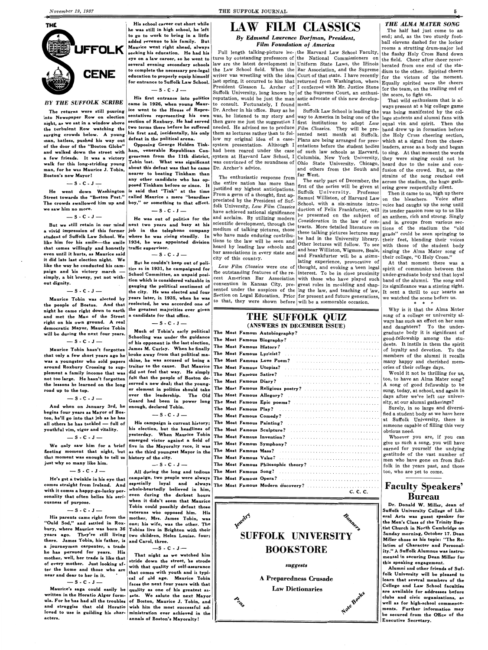**His school career cut short while he was still in high school, he left to go to work to bring in a little added revenue to his family. But Maurice went right ahead, always seeking his education. He had his eye on a law career, so he went to several evening secondary schools to complete the necessary pre-legal education to properly equip himself for entrance to Suffolk Law School.** 

 $-S-C-J-$ 

 $-$  S  $\cdot$  C  $\cdot$  J  $-$ 

## **LAW FILM CLASSICS**

*By Edmund Lawrence Dorfman, President, Film Foundation of America* 

tures by outstanding professors of the National Commissioners on the field. Cheer after cheer reverlaw are the latest development in Uniform State Laws, the Illinois berated from one end of the stathe Law School field. When the Bar Association, and the Supreme dium to the other. Spirited cheers writer was wrestling with the idea Court of that state. I have recently  $\int_{0}^{1}$  for the victors of the moment. last spring, it occurred to him that returned from Washington, where  $E_{\text{quality}}$  spirited were the cheers President Gleason L. Archer of I conferred with Mr. Justice Stone for the team, on the trailing end of Suffolk University, long known by of the Supreme Court, an enthusi-  $\frac{1}{\text{the score}}$ , to fight on. His first entrance into politics reputation, would be just the man astic advocate of this new develop- That wild enthusiasm that is al-**BY THE SUFFOLK SCRIBE** came in 1926, when young Maur- to consult. Fortunately, I found ment. ways present at a big college game The returns were still pouring ice went to the House of Repre- Dr. Archer in his office. Busy as he Suffolk Law School is leading the was being manifested by the col-<br>In Newspaper Row on election sentatives representing hi into Newspaper Row on election sentatives representing his own was, he listened to my story and way to America in being one of the lege students and alumni fans with the new store in the students and alumni fans with the n then gave me just the suggestion I first institutions to adopt  $Law$  equal vim and spirit. Then the **two terms there before he suffered** needed. He advised me to produce *Film Classics*. They will be pre- band drew up in formation before them as lectures rather than to fol- sented next month at Suffolk. the Holy Cross cheering section, defeat in the political arena. <br>
Now my original idea of a case- Plans are being arranged for pres- which at a signal from the cheer-**Opposing George Holden Tink-** system presentation. Although I entations before the student bodies leaders, arose as a body and began<br>ham, venerable Republican Con- had been reared under the case of such law schools as Har had been reared under the case of such law schools as Harvard, to sing. At that moment the words a few friends. It was a victory gressman from the 11th district, system at Harvard Law School, I Columbia, New York University, they were singing could not be **a few rites of the set of the set of the set of the set of the** 

d acclaim. By util

school Committee, an unpaid posi-<br>
School Committee, an unpaid posi-<br>
interest. To be in close proximity under-graduate body and that loyal tion which is considered valuable in <sup>cent</sup> American Bar Association with those who have played such band of the alumni. The song and convention in Kansas City, pre-great roles in moulding and shap- $\frac{1}{1}$  its significance was a stirring sight. sented under the auspices of the ling the law, and teaching of law,  $\frac{1}{1}$  sent a thrill to our hearts as Section on Legal Education. Prior for present and future generations,  $\frac{1}{100}$  watched the scene before us. bection on Legal Education. Prior for present and future generations, we watched the scene before us.<br>to that, they were shown before will be a memorable occasion.

Full length talking-picture lec- the Harvard Law School Faculty, the flashy Holy Cross Band down

**any other candidate who has op-** the entire nation has more than The early part of December, the across the stadium, the huge gath-<br>first of the series will be given at error or energy posed Tinkham before or since. It is He went down Washington posed Tinkham before or since. It the entire nation has more than first of the series will be given at errors the statium, the fluge gamped the went down Washington is said that "Tink" at the time w Street towards the "Boston Post." called Maurice a mere "beardless riom a germ of a thought, first ap-<br>
The crowds swallowed him up and boy," or something to that effect.<br>
we saw him no more.<br>  $\begin{bmatrix}\n\text{or } \text{or } \text{or } \text{or }$ duction of Felix Frankfurter, will its tender passion rose up to us like He was out of politics for the and acclaim. By utilizing modern be presented on the subject of an anthem, rich and strong. Singly But we still retain in our mind next two years and busy at his scientific development, through the  $\begin{bmatrix} \text{constant} \\ \text{constant} \end{bmatrix}$   $\begin{bmatrix} \text{constant} \\ \text{constant} \end{bmatrix}$   $\begin{bmatrix} \text{constant} \\ \text{constant} \end{bmatrix}$   $\begin{bmatrix} \text{constant} \\ \text{constant} \end{bmatrix}$   $\begin{bmatrix} \text{constant} \\ \text{in}$ But we still retain in our mind next two years and busy at his scientific development, through the consideration in the law of con-<br>a vivid impression of this former job in the telephone company medium of talking pictures

THE SUFFOLK QUIZ

5

### *THE ALMA MATER SONG*

The half had just come to an end; and, as the two sturdy football elevens dashed for the locker rooms a strutting drum-major led

Boston's new Mayor! **Nearer to beating Inkham than The enthusiastic response from** far West.<br>Sach a same of the sand one of the entire pating paraction is the same than the same of December, the across the stadium, the h

night, as we sat in a window above the turbulent Row watching the surging crowds below. A young man, hatless, pushed his way out of the door of the "Boston Globe" and walked down the street with walk for this long-striding young Tobin lost. What was significant was convinced of the soundness of Ohio State University, Chicago, heard due to the noise and con-<br>
walk for the sure Manyics I Tobin about this defeat was man, for he was Maurice J. Tobin, about this defeat was that he came Dr. Arcner's advice.<br> **Boston's new Mayor!** nearer to beating Tinkham than  $\begin{bmatrix} m_1, m_2, m_3, m_4 \end{bmatrix}$  far West.

We only saw him for a brief fleeting moment that night, but as the third youngest Mayor in the that moment was enough to tell us history of the city. just why so many like him.

#### $-$  S  $\cdot$  C  $\cdot$  J  $-$

| served a new deal; that the voung- |  |                                   |          |
|------------------------------------|--|-----------------------------------|----------|
| er element in politics should take |  | The Most Famous Religious poetry? |          |
| over the leadership.  The Old      |  |                                   |          |
| Guard had been in power long       |  |                                   |          |
| enough, declared Tobin.            |  |                                   |          |
| $-S-C-J$                           |  |                                   |          |
| His campaign is current history;   |  |                                   |          |
| his election, but the headlines of |  |                                   |          |
| yesterday. When Maurice Tobin      |  |                                   |          |
| emerged victor against a field of  |  |                                   |          |
| five in the Mayoralty race, it was |  |                                   |          |
|                                    |  |                                   |          |
| history of the city.               |  |                                   |          |
| $-$ S $-$ C $-$ J $-$              |  |                                   |          |
| All during the long and tedious    |  |                                   |          |
| campaign, two people were always   |  |                                   |          |
| especially loyal and always        |  | The Most Famous Modern discovery? |          |
| whole-heartedly believed in him,   |  |                                   | C. C. C. |
|                                    |  |                                   |          |

we saw him no more.

 $-$  S  $-$  C  $-$  J  $-$ 

student of Suffolk Law School. We where he was rising steadily. In who have made enduring contribu-<br>like him for his smile—the smile 1934, he was appointed division tions to the law will be seen and other lotters interval like him for his smile—the smile 1934, he was appointed division  $\begin{bmatrix} \text{tors to the law will be seen and} \\ \text{head by leading law schools and} \end{bmatrix}$  (the lectures will follow. To see with those of the student body that comes willingly and honestly traffic supervisor.<br>
even until it hurts, as Maurice said and heard by leading law schools and and hear Williston, Wigmore, Beale, singing the Alma Mater song of<br>
it did late last electio it did late last election night. We<br>like the way he conducted his cam-<br>tics so in 1931, he campaigned for Law Film Classics were one of hought, and evoking a keen legal spirit of communion between the paign and his victory march simply, a bit breezy, yet not without dignity.

**-S-C-J-**

of his opponent in the last election, The Most Tumous Biograph.<br>James M. Curley – When he finally The Most Famous History? James M. Curley. When he finally felt that the people of Boston de- $\vert$ The Most Famous Diary? served a new deal; that the younger element in politics should take The over the leadership. The Old $\,$  Th $\,$ enough, declared Tobin.

**Banners SUFFOLK UNIVERSITY BOOKSTORE** 

**execut?** 

$$
- \mathbf{S} \cdot \mathbf{C} \cdot \mathbf{J} -
$$

Maurice Tobin was elected by the people of Boston. And that night he came right down to earth and met the Man of the Street right on his own ground. A real democratic Mayor, Maurice Tobin will be during the next four years.

$$
- \mathsf{S} \cdot \mathsf{C} \cdot \mathsf{J} -
$$

Maurice Tobin hasn't forgotten that only a few short years ago he was a youngster who sold papers around Roxbury Crossing to supplement a family income that was not too large. He hasn't forgotten the lessons he learned on the long road up to the top.

$$
- S - C - J -
$$

And when on January 3rd, he begins four years as Mayor of Boston, he'll go into that job as he has all others he has tackled - full of youthful vim, vigor and vitality.

$$
-s \cdot c \cdot J -
$$

He's got a twinkle in his eye that comes straight from Ireland. And with it comes a happy-go-lucky personality that often belies his seriousness of purpose.

a journeyman carpenter, a trade he has pursued for years. His mother, well, her trade is like that of every mother. Just looking after the home and those who are **near and dear to her in it.** 

 $-$  S  $\cdot$  C  $\cdot$  J  $-$ 

Maurice's saga could easily be quality as one of his greatest aswritten in the Horatio Alger form- sets. We salute the next Mayor ula. For he has had all the troubles of Boston, Maurice J. Tobin, and and struggles that old Horatio wish him the most successful adloved to use in guilding his char- ministration ever achieved in the acters. **acters. annals of Boston's Mayoralty!** 

**gauging the political sentiment of the city. He was elected and four years later, in 1935, when he was**  reelected, he was accorded one of **the greatest majorities ever given a candidate for that office.** 

**-S-C-J-**

## (ANSWERS IN DECEMBER ISSUE) **Much of Tobin's early political The Most Famous Autobiography?**<br>Schooling was under the guidance The Most Famous Biography? **The Most Famous Biography?** broke away from that political ma- The Most Famous Lyricist? ........................ . chine, he was accused of being a The Most Famous Love Poem? traitor to the cause. But Maurice The Most Famous Utopias? did not feel that way. He simply The Most Famous Satire? ....

His parents came right from the "Ould Sod," and settled in Roxbury, where Maurice was born 36 years **ago.** They're still living **two children, Helen Louise, four;**  there. James Tobin, his father, is veterans who opposed him. His mother, **Mrs.** James Tobin, was one; his wife, was the other. The **Tobins live in Brighton with their and Carol, three.** 

#### *suggests*

Why is it that the Alma Mater song of a college or university always has such an effect on her sons and daughters? To the undergraduate body it is significant of good-fellowship among the students. It instils in them the spirit of loyalty and devotion. To the members of the alumni it recalls many happy and cherished memories of their college days.

Would it not be thrilling for us, too, to have an Alma Mater song? A song of good fellowship to be sung, today, at school, and again in days after we've left our university, at our alumni gatherings.?

Surely, in so large and diversified a student body as we have here at Suffolk University, there is someone capable of filling this very obvious need.

> Whoever you are, if you can give us such a song, you will have earned for yourself the undying gratitude of the vast number of men who have gone on from Suffolk in the years past, and those too, who are yet to come.

**Faculty Speakers' Bureau Dr. Donald W. Miller, dean of** 

**Suffolk University College of Liberal Arts was guest speaker for the Men's Class of the Trinity Baptist Church in North Cambridge on Sunday morning, October 17. Dean**  Miller chose as his topic: "The Relation of Character and Personality." A Suffolk Alumnus was instrumental in securing Dean Miller for this speaking engagement. Alumni and other friends of Suffolk University will be **pleased to** 

That night as we watched him stride down the street, he strode with that quality of self-assurance that comes with youth and is typical of old age. Maurice Tobin

faces the next four years with that

**A Preparedness Crusade** 

**Law Dictionaries** 

learn that several members of the College and Law School **faculties**  are available for addresses before clubs and civic organizations, as well as for high-school commencements. Further information may be secured from the Office of the Executive Secretary.

<sup>~</sup> ~?..,

All during the long and tedious The campaign, two people were always The especially loyal and always $\vert_{\mathrm{Th}}$ even during the darkest hours when it didn't seem that Maurice obin could possibly defeat th

 $-S-C-J-$ 

<sup>~</sup>'!, **~o"** 

**~o'e,**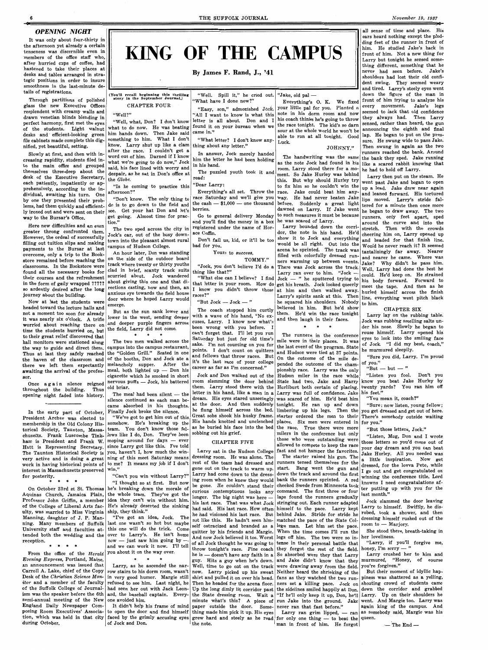6

#### **OPENING NIGHT**

It was only about four-thirty in the afternoon yet already a certain tenseness was discernible even in members of the office staff who, after hurried cups of coffee, had hastened to take their places at desks and tables arranged in strategic positions in order to insure smoothness in the last-minute details of registrations.

Through partitions of polished glass the new Executive Offices resplendent with creamy walls and drawn venetian blinds blending in perfect harmony, first met the eyes of the students. Light walnut desks and efficient-looking green file cabinets made complete this dignified, yet beautiful, setting.

Slowly at first, and then with increasing rapidity, students filed into the main office and grouped themselves three-deep about the desk of the Executive Secretary, each patiently, impatiently or apprehensively, according to the individual, awaiting his turn. One by one they presented their problems, had them quickly and efficiently ironed out and were sent on their way to the Bursar's Office.

Once again silence reigned throughout the building. Thus opening night faded into history.

\* \* \* \* On October 23rd at St. Thomas he's breaking down the morale of On October 23rd at St. Thomas  $\vert$  he's breaking down the morale of  $\vert$  be gone. He culture stand their Aquinas Church, Jamaica Plain, the whole team. They've got the curious looks any Professor John Griffin, a member idea they can't win without him. of the College of Liberal Arts fac-  $\left| \frac{\text{He's already desired}}{\text{heal}} \right|$  and said. His last race. How often ulty, was married to Miss Virginia ship, they think." Manning, daughter of J. P. Manning. Many members of Suffolk University staff and faculties attended both the wedding and the reception. \* \* \* \* the whole team. They've got the  $\begin{vmatrix} \text{cutoff} \\ \text{longer.} \end{vmatrix}$  The big night was here idea they can't win without him.  $\begin{vmatrix} \text{longer.} \\ \text{his last race.} \end{vmatrix}$  That was what Jock last one wasn't so hot but maybe this one will do the trick. Come over to Larry's. He isn't home now  $-$  just saw him going by  $\cdot$ and we can work it now. I'll tell<br>you about it on the way over.

"All I want to know is what this note in his dorm room and now<br>letter is all about. Don and I his coach thinks he's going to throw letter is all about. Don and I your little pal for you. Planted a note in his dorm room and now "Well, what, Don? I don't know letter is all about. Don and I ms coach thinks he's going to throw<br>het to do now. He was beeting found it on your bureau when we the race tonight. The kid's so darn found it on your bureau when we came in." sour at the whole world he won't be able to run at all tonight. Good "What letter? I don't know any- $\vert$  Luck.

Here new difficulties and an even greater throng confronted them, However, the ordeal of successfully filling out tuition slips and making payments to the Bursar at last overcome, only a trip to the Bookstore remained before reaching the classrooms. In the Bookstore were found all the necessary books for their courses and the refreshment in the form of gaily wrapped ????? so ardently desired after the **long**  journey about the building.

**KING OF THE CAMPUS By James F. Rand, J., '41 (You'll recall beginning this thrilling story in the September Journal.)**  "Well. Spill it," he cried out. "Jake, old pal  $-$ CHAPTER FOUR "What have I done now?" Everything's 0. K. We fixed "Easy, son," admonished Jock.

Now at last the students were headed toward the lecture halls and not a moment too soon for already it was nearly six o'clock. A trifle worried about reaching there on time the students hurried on, but to their great relief discovered that hall monitors were stationed along the way to guide and direct them. Thus at last they safely reached the haven of the classroom and there we left them expectantly awaiting the arrival of the professor.

In the early part of October, President Archer was elected to membership in the Old Colony Historical Society, Taunton, Massachusetts. Frank Luscombe Tinkham is President and Frank W. Hutt is Representing Secretary. The Taunton Historical Society is very active and is doing a great work in having historical points of interest in Massachusetts preserved for posterity.

The meal had been silent - the silence continued as each man became absorbed in his thoughts. Finally Jock broke the silence.

"We've got to get him out of this somehow. He's breaking up the team. You don't know those fellows like I do, Don. They've been moping around for days  $-$  ever since Larry got like this. I've told you, haven't I, how much the winning of this meet Saturday means to me? It means my job if I don't win." | gone out on the track to warm up.

Everything's all set. Throw the race Saturday and we'll give you the cash  $-$  \$1,000  $-$  one thousand

all sense of time and place. His ears heard nothing except the plodding feet of the runner in front of him. He studied Jake's back in front of him. Not a new thing for Larry but tonight he sensed something different, something that he never had seen before. Jake's shoulders had lost their old confident swing. They seemed weary and tired. Larry's steely eyes went down the figure of the **man in**  front of him trying to analyze his every movement. Jake's legs seemed to lack that old confidence they always had. Then Larry sensed, rather than heard, the gun announcing the eighth and final lap. He began to put on the pressure. He swung wide to pass Jake. Then swung in again as the two runners reached the bank. Around the bank they sped. Jake running like a scared rabbit knowing that

Larry sat in the Hudson College dressing room. He was alone. The rest of the team had dressed and "Can't you win without Larry?" Larry had come down to the dressing room when he knew they would bank the runners sprinted. A red "I thought so at first. But now  $\begin{bmatrix} \text{mod } n \\ \text{odd } n \end{bmatrix}$  be gone. He couldn't stand their cheeked Swede from Minnesota took last month." The starter raised his gun. The runners tensed themselves for the start. Bang went the gun and down the track and around the first command. The first three or four laps found the runners gradually stringing out. Each runner adapted Jock slammed the door leaving<br>stringing out. Each runner adapted Larry to himself. Swiftly, he disself ostracized and branded as a lege man. Let him set the pace. room to - Marjory. And now Jock believed it too. Worst legs off him. The two were so in- her loveliness. quitter by his friends and Margie. throw tonight's race. Fine coach they forgot the rest of the field. honey, I'm sorry  $-$  " Well, time to go out on the track now. Larry picked up his sweat shirt and pulled it on over his head. Then he headed for the arena floor. Up the long dimly lit corridor past the State dressing room. Wait a minute what's this? A piece of paper outside the door. Sometion, which was held in that city faced by the grimly accusing eyes grew hard and steely as he read for only one thing  $-$  to beat the queen. the note. the sidelines smiled happily at Don. man in front of him. He forgot  $-$ The End-

"Well?"

what to do now. He was beating him hands down. Then Jake said something to him. What I don't know. Larry shut up like a clam after the race. I couldn't get a word out of him. Darned if I know what we're going to do now," Jock said, his face lined with worry and despair, as he sat in Don's office at the *Globe.* •

thing about any letter."

"Is he coming to practice this afternoon?"

"Don't know. The only thing to do is to go down to the field and see. Get your hat Don and let's get going. Almost time for practice."

The two sped across the city in Jock's car, out of the busy downtown into the pleasant almost rural campus of Hudson College.

An hour later, Don was standing on the side of the outdoor board track where twenty or thirty youths clad in brief, scanty track suits scurried about. Jock wandered about giving this one and that directions casting, now and then, an anxious eye towards the field house door where he hoped Larry would emerge.

But as the sun sank lower and lower in the west, sending deeper and deeper purple fingers across the field, Larry did not come.

\* \* The two men walked across the campus into the campus restaurant, the "Golden Grill." Seated in one of the booths, Don and Jock ate a melancholy supper. After the meal, both lighted up  $-$  Don his cigarette which he smoked in short nervous puffs  $-$  Jock, his battered old briar.

In answer, Jock merely handed him the letter he had been holding

in his hand.

The puzzled youth took it and

read:

"Dear Larry:

berries.

Go to general delivery Monday and you'll find the money in a box registered under the name of Hor-

ace Coffin.

Don't fail us, kid, or it'll be too

bad for you.

Yours to *success,* 

**TOMMY."** 

"Jock, you don't believe I'd do a

thing like that?"

"What else can I believe? I find that letter in your room. How do I know you didn't throw those

races?"

From the office of the *Herald Evening Express,* Portland, Maine, **an** announcement was issued that Carroll A. Lake, chief of the Copy Desk of the *Christian Science Monitor* and a member of the faculty of the Suffolk College of Journalism was the speaker before the 6th semi-annual meeting of the New England Daily Newspaper Composing Room Executives' Associa**during October.** 

 $\pmb{*}$  $\ast$ 

The coach stopped him curtly with a wave of his hand, "No excuses, Larry. I know now what's been wrong with you before. I can't forget that. I'll let you run Saturday but just for old time's sake. I'm not counting on you for points. I don't count on quitters and fellows that throw races. But it's the last race of your college career as far as I'm concerned." Jock and Don walked out of the room slamming the door behind

to open the door and find himself thing made him pick it up. His eyes It didn't help his frame of mind of Jock and Don.

he had to hold off Larry. Larry then put on the steam. He went past Jake and began to open up a lead. Jake drew near again and leaned forward. His tortured lips moved. Larry's stride faltered for a minute then once more he began to draw away. The two runners, only feet apart, sped around the curve and into the stretch. Then with the crowds cheering him on, Larry opened up and headed for that finish line. Would he never reach it? It seemed tantalizingly far away. Nearer and nearer he came. Where was Jake? Why didn't he pass him. Well, Larry had done the best he could. He'd keep on. He strained his body forward. Forward to meet the tape. And then as he hurleq himself across the finish line, everything went pitch black to him.

letter in his hand, like a man in a dream. His eyes stared unseeingly at the door. And then suddenly he flung himself across the bed. Great sobs shook his husky frame. His hands knotted and unclenched as he buried his face into the bed

sobbing out his grief.

"But  $Jock - Jock -"$ 

CHAPTER FIVE

JOHNNY."

The handwriting was the same as the note Jock had found in his room. Larry stood there for a moment. So Jake Hurley was behind this. But why should Hurley try to fix him so he couldn't win the race. Jake could beat him anyway. He had never beaten Jake before. Suddenly a great light dawned on Larry. If Jake went to such measures it must be because

he was scared of Larry. Larry bounded down the corridor, the note in his hand. He'd show it to Jock and everything would be all right. Out into the arena he sprinted. The track was filled with colorfully dressed runners warming up between events. There was Jock across the track. Larry ran over to him. "Jock - $Jock - "$  he sputtered trying to get his breath. Jock looked queerly at him and then walked away. Larry's spirits sank at this. Then he squared his shoulders. Nobody believed in him. But he'd show them. He'd win the race tonight and then laugh in their faces.

\*  $\star$ The runners in the conference mile were in their places. It was the last event of the program. State and Hudson were tied at 37 points. On the outcome of the mile depended the outcome of the championship race. Larry was the only Hudson miler in the race while State had two, Jake and Harry them. Larry stood there with the Hurliburt both certain of placing. Larry was full of confidence. Jake was scared of him. He'd beat him tonight. He ran up and down limbering up his legs. Then the starter ordered the men to their places. Six men were entered in the race. True there were more milers in the conference but only those who were outstanding were allowed to compete to keep the race fast and not hamper the favorites.

#### CHAPTER SIX

Larry lay on the rubbing table. Jock was rubbing smelling salts under his nose. Slowly he began to rouse himself. Larry opened his eyes to look into the smiling face of Jock. "I did my best, coach," he murmured sleepily.

"Sure you did, Larry. I'm proud of you."

" $But - but -"$ 

"Listen you fool. Don't you know you beat Jake Hurley by twenty yards? You ran him off his feet."

"You mean it, coach?"

"Sure; now listen, young fellow; you get dressed and get out of here. There's somebody outside waiting for you."

"But those letters, Jock."

"Listen, Mug, Don and I wrote those letters so you'd come out of your day dream and you can beat Jake Hurley. All you needed was a little inspiration. Now get dressed, for the lovva Pete, while I go out and get congratulated on winning the conference title. Lord knowns I need congratulations after putting up with you for the

ship, they think." he had values into the number of the pace. Larry  $\kappa$  here  $\kappa$  robed, took a shower, and then The got an idea, Jock. The not like this. He hadn't seen him- matched the pace of the State Col- dressing himself rushed out of the had said. His last race, How often himself to the pace. Larry kept  $\frac{\text{pair}}{\text{height}}$  to himself. Swiftly, he dis-<br>he had visioned his last race. But behind Jake. Stride for stride he robed, took a shower, and then When the time comes I'll run the She stood there, breath-taking in legs off him. The two were so inof all Jock thought he was going to tense in their personal battle that "Larry, if you'll forgive me, he is — doesn't have any faith in a So absorbed were they that Larry Larry crushed her to him and guy. Hits a guy when he's down. and Jake didn't know that they murmured, "Honey, of course were drawing away from the field. you're forgiven."<br>Neither heard the shrieking of the But their moment of idyllic hap-Neither heard the shrieking of the But their moment of idyllic hap-<br>fans as they watched the two run-<br>piness was shattered as a yelling, fans as they watched the two run- piness was shattered as a yelling, ners set a killing nace. Jock on shouting crowd of students came ners set a killing pace. Jock on shouting crowd of students came the sidelines smiled happily at Don. down the corridor and grabbed "If he'll only keep it up, Don, he'll Larry. Up on their shoulders he run Jake into the ground. Jake went. And Margie too. Larry was never ran that fast before." again king of the campus. And Larry ran grim lipped,  $-$  ran as somebody said, Margie was his

Larry, as he ascended the narrow stairs to his dorm room, wasn't in very good humor. Margie still refused to see him. Last night, he had seen her out with Jack Leonard, the baseball captain. Everyone a voided him.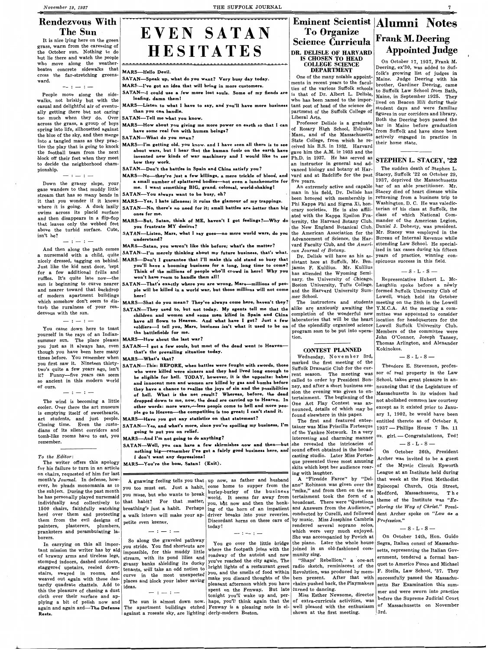It is nice lying here on the green grass, warm from the caressing of the October sun. Nothing to do but lie there and watch the people who move along the weatherbeaten concrete sidewalks that **MARS-Hello Devil.** cross the far-stretching greens-<br> **SATAN—Speak up, what do you want?** Very busy day today.<br>
ward.

 $-:-:-$ 

## **Rendezvous With The Sun**

#### THE SUFFOLK JOURNAL

# **EVEN SATAN HESITATES**

People move along the sidewalks, not briskly but with the casual and delightful air of eventually getting there but not caring too much when they do. Over across the grass, a group of boys spring into life, silhouetted against the blue of the sky, and then merge into a tangled mass as they practice the play that is going to knock the football team from the next block off their feet when they meet to decide the neighborhood championship.

- SATAN-I could use a few more lost souls. Some of my fiends are **loafing, damn them** I
- **MARS-Listen to what** I **have to say, and you'll have more business than you can handle.**
- **SATAN-Tell me what you know.**
- **MARS-How about you giving me more power on earth so that** I can **have some real fun with human beings?** ·

Down the grassy slope, your gaze wanders to that muddy little stream that has so many bends in it that you wonder if it knows where it is going. A duck lazily swims across its placid surface and then disappears **in a** flip-flop that leaves only the webbed feet above the turbid surface. Cute, isn't he?

 $-:-:-$ 

 $-:-:-$ 

- MARS-Yes, I hate idleness; it ruins the glamour of my trappings. SATAN--No, there's no need for it; small battles are better than big ones for me.
- MARS-But, Satan, **think** of **M.E, haven't** I **got feelings?-Why** do you frustrate **MY desires?**
- SAT AN-Listen, **Mars, what** I **say goes-no more world wars,** do you **understand?**

And then along the path comes a nursemaid with a child, quite nicely dressed, tagging on behind. Just like the kid next door, 'cept for a few additional frills and ruffles. It's quite late now-the sun is beginning to curve nearer and nearer toward that backdrop of modern apartment buildings which somehow don't seem to disturb the ruralness of your rendezvous with the sun.

 $-:-:-$ 

**MARS-I've got an idea that will bring in more customers.** 

**SATAN-What do you mean?** 

**MARS-I'm getting old, you** know. and I **have** seen all **there is to see about wars, but** I **hear that the human fools on the earth have**  invented new kinds of war machinery and I would like to see how they work.

SATAN-Don't the battles in Spain and China satisfy you?

MARS-No-they're just a few killings, a mere trickle of blood, and a small number of splattered bodies—not even a luncheonette for five years. me. I want something BIG, **grand,** colossal, world-shaking!

SATAN-You always want to be busy, eh?

MARS-Satan, **you weren't like this before; what's the** matter?

SATAN-I'm merely **thinking about** my **future business,** that's what.

- MARS-Don't I guarantee **that** I'll **make this** old **stand so** busy that you'll have a booming business for a long, long time to come? Think of **the millions** of **people** who'll **crowd** in here·! Why you won't **have** room **to handle** them all!
- SATAN-That's exactly where you are wrong, Mars-millions of people will be killed in a world **war, but those** millions will not come here!

**MARS-Shat** do you mean? They've **always** come here, haven't they?

**MARS—What's that? Wednesday, November 3rd, Wednesday, November 3rd, Wednesday**, November 3rd, rent season. The meeting was called to order by President Bonney, and after a short business session the evening was given to entertainment. The beginning of the One Act Play Contest was announced, details of which may be found elsewhere in this paper.

SATAN-They **used to, but** not **today. My agents** tell me that the children **and women and some men killed in Spain and China**  have **all flown to Heaven. And what have** I **got? Just a few**  soldiers—I tell you, Mars, business isn't what it used to be on of the splendidly organized science the battlefields **for me.** 

**MARS-How about** the **last war?** 

you just as it always has, even SATAN-I got a few souls, but most of the dead went to Heaventhat's the prevailing situation today. CONTEST PLANNED

**SATAN—This: BEFORE, when battles were fought with swords, those** marked the first meeting of the curwho were killed were sinners and they had lived long enough to be eligible for hell. TODAY, however, it is the opposite: babes and innocent men and women are killed by gas and bombs before they have a chance to realize the joys of sin and the possibilities of hell. What is the net result? Whereas, before, the dead dropped down to me, now, the dead are carried up to Heaven. In other words: more wars,---less people come to hell and more people go to Heaven---the competition is too great; I can't stand it.

The writer offers this apology for his failure to turn in an article on chairs, requested of him for last month's *Journal.* In defense, however, he pleads monomania as to the subject. During the past month individually and collectively to that habit? For that matter, **COLLEGE SCIENCE DEPARTMENT** 

One of the many notable appointments in recent years to the faculties of the various Suffolk schools is that of Dr. Albert L. Delisle, who has been named to the important post of head of the science department of the Suffolk College of Liberal Arts.

Professor Delisle is a graduate of Rosary High School, Holyoke, Mass., and of the Massachusetts State College, from which he received his B.S. in 1932. Harvard gave him the **A.M.** in 1933 and the Ph.D. in 1937. He has served as an instructor in general and advanced biology and botany at Har-

SATAN--Well, you can have a few skirmishes now and then--but **nothing big-remember I've got a fairly good business here, and**  I **don't want any depressions!** 

An extremely active and capable man in his field, Dr. Delisle has been honored with membership in Phi Kappa Phi and Sigma Xi, honorary societies. He is also affiliated with the Kappa Epsilon Fraternity, the Harvard Botany Club, the New England Botanical Club, the American Association for the Advancement of Science, the Harvard Faculty Club, and the *A merican Journal of Botany.* 

Dr. Delisle will have as his assistant here at Suffolk, Mr. Ben- spicuous success in this field. jamin F. Kulilius. Mr. Kulilius has attended the Wyoming Seminary, the University of Chicago, Boston University, Tufts College, and the Harvard University Summer School.

The instructors and students alike are anxiously awaiting the completion of the wonderful new laboratories that will be the heart location for headquarters for the program soon to be put into operation.

#### **Eminent Scientist | Alumni Notes To Organize Science Curricula DR. DELISLE OF HARVARD IS CHOSEN TO HEAD Frank M. Deering Appointed Judge**

You came down here to toast yourself in the rays of an Indiansummer sun. The place pleases though you have been here many times before. You remember when you first saw it. Nineteen thirtytwo's quite a few years ago, isn't it? Funny-five years can seem so ancient in this modern world of ours.

 $-:-:-$ 

vard and at Radcliffe for the past Stacey, Suffolk '22 on October 29, The sudden death of Stephen L. 1937, deprived the Massachusetts bar of an able practitioner. Mr. Stacey died of heart disease while returning from a business trip **to**  Washington, D. C. He was valedictorian of his class at Suffolk, the class of which National Commander of the American Legion, Daniel J. Doherty, was president. Mr. Stacey was employed in the Bureau of Internal Revenue while attending Law School. He specialized in tax cases during his fifteen years of practice, winning con-

 $-$  S - L - S  $-$ 

**MARS-Have you got any statistics on that statement?** 

**SATAN-Yea, and what's more, since you're spoiling my business, I'm** 

i.<br>**5**—And I'm not going to do anything?

The first and featured entertainer was Miss Priscilla Fortesque of the Yankee Network. In a very interesting and charming manner she revealed the intricacies of sound effect obtained in the broadcasting studio. Later Miss Fortesque presented three most amusing skits which kept her audience roaring with laughter.

The wind is becoming a little cooler. Over there the art museum is emptying itself of sweethearts, art students, and just people. Closing time. Even the custodians of its silent corridors and **going** to put you on relief. tomb-like rooms have to eat, you remember.

#### *To the Editor:*

**MARS-You're the boas, Satan! (Exit).** 

the subject. During the past month  $\begin{vmatrix} 5 & 0 & 0 \\ 0 & 0 & 0 \\ 0 & 0 & 0 \end{vmatrix}$  words to break world. It seems far away from A gnawing feeling tells you that up now, as father and husband you too must eat. Just a habit, come home to supper from the ano" Robinson was given over the world. It seems far away from you, but now and then the honk- broadcast. There were "Questions"

A "Fireside Farce" by "Del-"mike," and from then on the entertainment took the form of a

|                                     | 1500 chairs, faithfully watching breathing's just a habit. Perhaps     |                                                                                                  | ing of the horn of an impatient and Answers from the Audience," ploring the Way of Christ." Presi-  |                                                                                                        |
|-------------------------------------|------------------------------------------------------------------------|--------------------------------------------------------------------------------------------------|-----------------------------------------------------------------------------------------------------|--------------------------------------------------------------------------------------------------------|
|                                     | herd over them and protecting $\vert a$ walk intown will make your ap- |                                                                                                  | driver breaks into your reveries. conducted by Curelli, and followed dent Archer spoke on "Law as a |                                                                                                        |
| them from the evil designs of       | petite even keener.                                                    |                                                                                                  | Discordant horns on these cars of by music. Miss Josephine Cambria $ $ <i>Profession.</i> "         |                                                                                                        |
| painters, plasterers, plumbers,     |                                                                        | today!                                                                                           | rendered several soprano solos,                                                                     | $-S - L - S -$                                                                                         |
| pranksters and perambulating la-    | $-$ : $-$ : $-$                                                        | $-:-:-$                                                                                          | which were very much enjoyed.                                                                       |                                                                                                        |
| borers.                             |                                                                        |                                                                                                  | She was accompanied by Povich at                                                                    | On October 14th, Hon. Guido                                                                            |
| In carrying on this all impor-      | So along the graveled pathway<br>you stride. You find shortcuts are    |                                                                                                  | You go over the little bridge the piano. Later the whole house                                      | Segra, Italian consul of Massachu-                                                                     |
| tant mission the writer has by aid  | impossible, for this muddy little                                      |                                                                                                  | where the footpath joins with the joined in an old-fashioned com-                                   | setts, representing the Italian Gov-                                                                   |
| of brawny arms and tireless legs,   | stream, with its pond lilies and                                       | roadway of the autoist and now munity sing.                                                      |                                                                                                     | ernment, tendered a formal ban-                                                                        |
| stomped indoors, dashed outdoors,   | grassy banks shielding its ducky                                       |                                                                                                  | you've reached the city again. The   "Shays' Rebellion," a one-act                                  |                                                                                                        |
| staggered upstairs, reeled down-    | tenants, will take an odd notion to                                    |                                                                                                  |                                                                                                     | bright lights of a restaurant greet radio sketch, reminiscent of the quet to Americo Fusco and Michael |
| stairs, swayed in rooms, and        |                                                                        |                                                                                                  | you, and the smells of food within Revolution, was produced by mem-                                 | F. Stella, Law School, '37. They                                                                       |
| weaved out again with these das-    | curve in the most unexpected<br>places and block your labor saving     |                                                                                                  | make you discard thoughts of the bers present. After that with                                      | successfully passed the Massachu-                                                                      |
| tardly quadrate chattels. Add to    |                                                                        |                                                                                                  | pleasant afternoon which you have chairs pushed back, the Playmakers                                | setts Bar Examination this sum-                                                                        |
| this the pleasure of chasing a dust | ideas.<br>$-:-:-$                                                      | spent on the Fenway. But late turned to dancing.                                                 |                                                                                                     | mer and were sworn into practice                                                                       |
| cloth over their surface and ap-    |                                                                        | tonight you'll wake up and, per-                                                                 | Miss Esther Newsome, director                                                                       | before the Supreme Judicial Court                                                                      |
| plying a bit of polish now and      |                                                                        | The sun is almost down now. haps, you'll think again that the of extra-curricula activities, was |                                                                                                     |                                                                                                        |
| again and again and-The Defense     |                                                                        |                                                                                                  | The apartment buildings etched Fenway is a pleasing note in el- well pleased with the enthusiasm    | of Massachusetts on November                                                                           |
| Rests.                              | against a roseate sky, are lighting derly-modern Boston.               |                                                                                                  | shown at the first meeting.                                                                         | 3rd.                                                                                                   |
|                                     |                                                                        |                                                                                                  |                                                                                                     |                                                                                                        |

7 **;-c, ••** 

On October 17, 1937, Frank M. Deering, ex'30, was added to Suffolk's growing list of judges in Maine. Judge Deering with his brother, Gardiner Deering, came to Suffolk Law School from Bath, Maine, in September 1925. They lived on Beacon Hill during their student days and were familiar figures in our corridors and library. Both the Deering boys passed the bar in Maine before graduation from Suffolk and have since been actively engaged in practice in their home state.

#### **STEPHEN L. STACEY, '22**

Representative Hubert L. Mc-Laughlin spoke before a newly formed Suffolk University Club of Lowell, which held its October meeting on the 28th in the Lowell Y.M.C.A. At the meeting a committee was appointed to consider Lowell Suffolk University Club. Members of the committee were John O'Connor, Joseph Tansey, Thomas Arlington, and Alexander Kokinokos.

#### $-S - L - S -$

Theodore E. Stevenson, professor of real property in the Law School, takes great pleasure in announcing that if the Legislature of Massachusetts in its wisdom had not abolished common law courtesy except as it existed prior to January 1, 1902, he would have been entitled thereto as of October 8, 1937 - Phillips House 7 lbs. 11 oz. girl. - Congratulations, Ted!

 $-$  S - L - S  $-$ 

On October 26th, President Archer was invited to be a guest of the Mystic Circuit Epworth League at an Institute held during that week at the First Methodist Episcopal Church, Otis Street, Medford, Massachusetts. The theme of the Institute was *"Ex-*